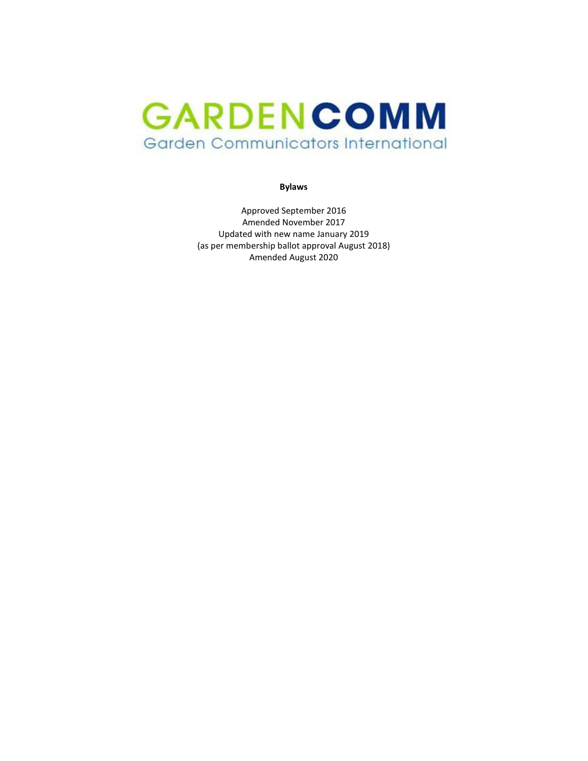# GARDENCOMM Garden Communicators International

**Bylaws**

Approved September 2016 Amended November 2017 Updated with new name January 2019 (as per membership ballot approval August 2018) Amended August 2020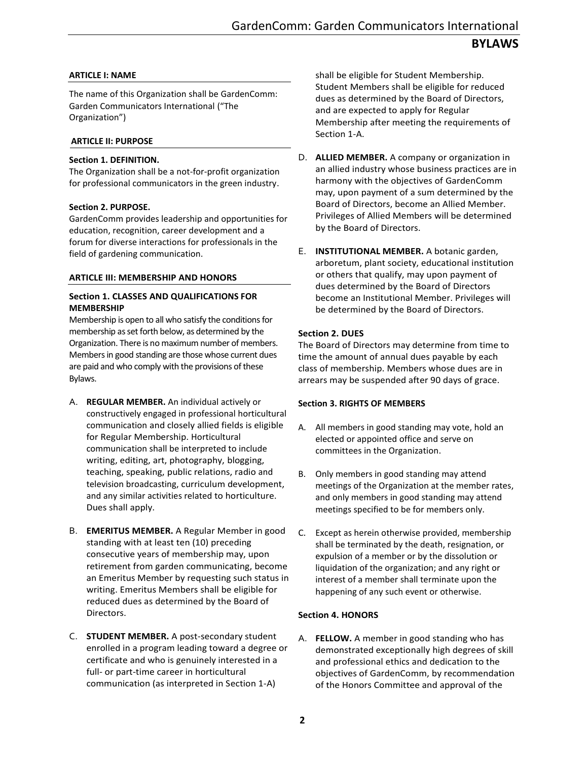## **ARTICLE I: NAME**

The name of this Organization shall be GardenComm: Garden Communicators International ("The Organization")

#### **ARTICLE II: PURPOSE**

#### **Section 1. DEFINITION.**

The Organization shall be a not-for-profit organization for professional communicators in the green industry.

#### **Section 2. PURPOSE.**

GardenComm provides leadership and opportunities for education, recognition, career development and a forum for diverse interactions for professionals in the field of gardening communication.

#### **ARTICLE III: MEMBERSHIP AND HONORS**

#### **Section 1. CLASSES AND QUALIFICATIONS FOR MEMBERSHIP**

Membership is open to all who satisfy the conditions for membership as set forth below, as determined by the Organization. There is no maximum number of members. Members in good standing are those whose current dues are paid and who comply with the provisions of these Bylaws.

- A. **REGULAR MEMBER.** An individual actively or constructively engaged in professional horticultural communication and closely allied fields is eligible for Regular Membership. Horticultural communication shall be interpreted to include writing, editing, art, photography, blogging, teaching, speaking, public relations, radio and television broadcasting, curriculum development, and any similar activities related to horticulture. Dues shall apply.
- B. **EMERITUS MEMBER.** A Regular Member in good standing with at least ten (10) preceding consecutive years of membership may, upon retirement from garden communicating, become an Emeritus Member by requesting such status in writing. Emeritus Members shall be eligible for reduced dues as determined by the Board of Directors.
- C. **STUDENT MEMBER.** A post-secondary student enrolled in a program leading toward a degree or certificate and who is genuinely interested in a full- or part-time career in horticultural communication (as interpreted in Section 1-A)

shall be eligible for Student Membership. Student Members shall be eligible for reduced dues as determined by the Board of Directors, and are expected to apply for Regular Membership after meeting the requirements of Section 1-A.

- D. **ALLIED MEMBER.** A company or organization in an allied industry whose business practices are in harmony with the objectives of GardenComm may, upon payment of a sum determined by the Board of Directors, become an Allied Member. Privileges of Allied Members will be determined by the Board of Directors.
- E. **INSTITUTIONAL MEMBER.** A botanic garden, arboretum, plant society, educational institution or others that qualify, may upon payment of dues determined by the Board of Directors become an Institutional Member. Privileges will be determined by the Board of Directors.

#### **Section 2. DUES**

The Board of Directors may determine from time to time the amount of annual dues payable by each class of membership. Members whose dues are in arrears may be suspended after 90 days of grace.

#### **Section 3. RIGHTS OF MEMBERS**

- A. All members in good standing may vote, hold an elected or appointed office and serve on committees in the Organization.
- B. Only members in good standing may attend meetings of the Organization at the member rates, and only members in good standing may attend meetings specified to be for members only.
- C. Except as herein otherwise provided, membership shall be terminated by the death, resignation, or expulsion of a member or by the dissolution or liquidation of the organization; and any right or interest of a member shall terminate upon the happening of any such event or otherwise.

## **Section 4. HONORS**

A. **FELLOW.** A member in good standing who has demonstrated exceptionally high degrees of skill and professional ethics and dedication to the objectives of GardenComm, by recommendation of the Honors Committee and approval of the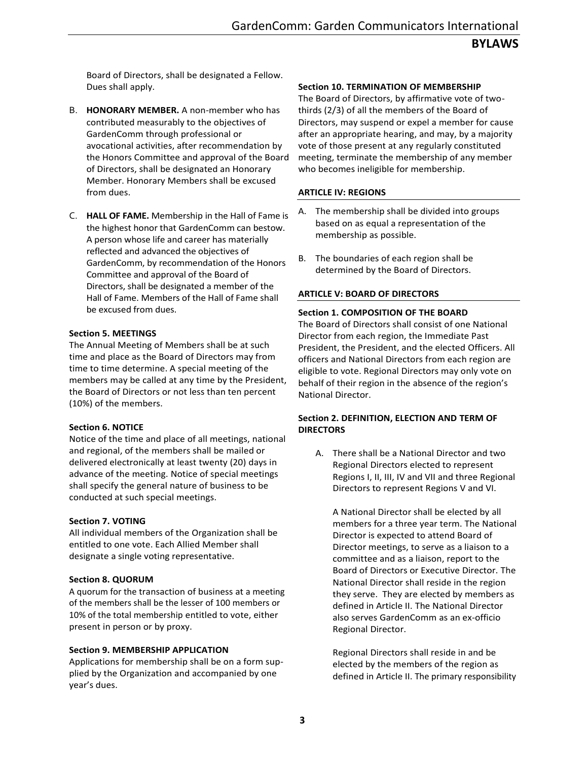Board of Directors, shall be designated a Fellow. Dues shall apply.

- B. **HONORARY MEMBER.** A non-member who has contributed measurably to the objectives of GardenComm through professional or avocational activities, after recommendation by the Honors Committee and approval of the Board of Directors, shall be designated an Honorary Member. Honorary Members shall be excused from dues.
- C. **HALL OF FAME.** Membership in the Hall of Fame is the highest honor that GardenComm can bestow. A person whose life and career has materially reflected and advanced the objectives of GardenComm, by recommendation of the Honors Committee and approval of the Board of Directors, shall be designated a member of the Hall of Fame. Members of the Hall of Fame shall be excused from dues.

## **Section 5. MEETINGS**

The Annual Meeting of Members shall be at such time and place as the Board of Directors may from time to time determine. A special meeting of the members may be called at any time by the President, the Board of Directors or not less than ten percent (10%) of the members.

## **Section 6. NOTICE**

Notice of the time and place of all meetings, national and regional, of the members shall be mailed or delivered electronically at least twenty (20) days in advance of the meeting. Notice of special meetings shall specify the general nature of business to be conducted at such special meetings.

## **Section 7. VOTING**

All individual members of the Organization shall be entitled to one vote. Each Allied Member shall designate a single voting representative.

## **Section 8. QUORUM**

A quorum for the transaction of business at a meeting of the members shall be the lesser of 100 members or 10% of the total membership entitled to vote, either present in person or by proxy.

## **Section 9. MEMBERSHIP APPLICATION**

Applications for membership shall be on a form supplied by the Organization and accompanied by one year's dues.

## **Section 10. TERMINATION OF MEMBERSHIP**

The Board of Directors, by affirmative vote of twothirds (2/3) of all the members of the Board of Directors, may suspend or expel a member for cause after an appropriate hearing, and may, by a majority vote of those present at any regularly constituted meeting, terminate the membership of any member who becomes ineligible for membership.

## **ARTICLE IV: REGIONS**

- A. The membership shall be divided into groups based on as equal a representation of the membership as possible.
- B. The boundaries of each region shall be determined by the Board of Directors.

## **ARTICLE V: BOARD OF DIRECTORS**

## **Section 1. COMPOSITION OF THE BOARD**

The Board of Directors shall consist of one National Director from each region, the Immediate Past President, the President, and the elected Officers. All officers and National Directors from each region are eligible to vote. Regional Directors may only vote on behalf of their region in the absence of the region's National Director.

## **Section 2. DEFINITION, ELECTION AND TERM OF DIRECTORS**

A. There shall be a National Director and two Regional Directors elected to represent Regions I, II, III, IV and VII and three Regional Directors to represent Regions V and VI.

A National Director shall be elected by all members for a three year term. The National Director is expected to attend Board of Director meetings, to serve as a liaison to a committee and as a liaison, report to the Board of Directors or Executive Director. The National Director shall reside in the region they serve. They are elected by members as defined in Article II. The National Director also serves GardenComm as an ex-officio Regional Director.

Regional Directors shall reside in and be elected by the members of the region as defined in Article II. The primary responsibility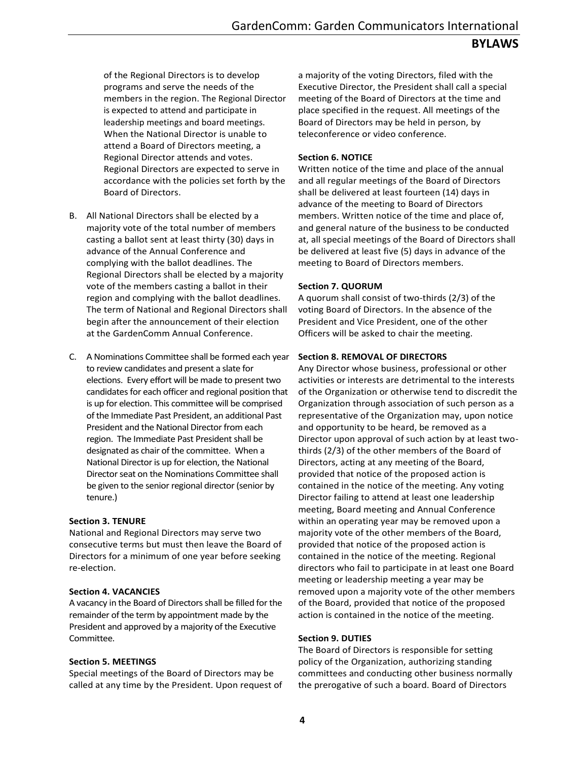of the Regional Directors is to develop programs and serve the needs of the members in the region. The Regional Director is expected to attend and participate in leadership meetings and board meetings. When the National Director is unable to attend a Board of Directors meeting, a Regional Director attends and votes. Regional Directors are expected to serve in accordance with the policies set forth by the Board of Directors.

- B. All National Directors shall be elected by a majority vote of the total number of members casting a ballot sent at least thirty (30) days in advance of the Annual Conference and complying with the ballot deadlines. The Regional Directors shall be elected by a majority vote of the members casting a ballot in their region and complying with the ballot deadlines. The term of National and Regional Directors shall begin after the announcement of their election at the GardenComm Annual Conference.
- C. A Nominations Committee shall be formed each year to review candidates and present a slate for elections. Every effort will be made to present two candidates for each officer and regional position that is up for election. This committee will be comprised of the Immediate Past President, an additional Past President and the National Director from each region. The Immediate Past President shall be designated as chair of the committee. When a National Director is up for election, the National Director seat on the Nominations Committee shall be given to the senior regional director (senior by tenure.)

## **Section 3. TENURE**

National and Regional Directors may serve two consecutive terms but must then leave the Board of Directors for a minimum of one year before seeking re-election.

## **Section 4. VACANCIES**

A vacancy in the Board of Directors shall be filled for the remainder of the term by appointment made by the President and approved by a majority of the Executive Committee.

## **Section 5. MEETINGS**

Special meetings of the Board of Directors may be called at any time by the President. Upon request of a majority of the voting Directors, filed with the Executive Director, the President shall call a special meeting of the Board of Directors at the time and place specified in the request. All meetings of the Board of Directors may be held in person, by teleconference or video conference.

## **Section 6. NOTICE**

Written notice of the time and place of the annual and all regular meetings of the Board of Directors shall be delivered at least fourteen (14) days in advance of the meeting to Board of Directors members. Written notice of the time and place of, and general nature of the business to be conducted at, all special meetings of the Board of Directors shall be delivered at least five (5) days in advance of the meeting to Board of Directors members.

## **Section 7. QUORUM**

A quorum shall consist of two-thirds (2/3) of the voting Board of Directors. In the absence of the President and Vice President, one of the other Officers will be asked to chair the meeting.

## **Section 8. REMOVAL OF DIRECTORS**

Any Director whose business, professional or other activities or interests are detrimental to the interests of the Organization or otherwise tend to discredit the Organization through association of such person as a representative of the Organization may, upon notice and opportunity to be heard, be removed as a Director upon approval of such action by at least twothirds (2/3) of the other members of the Board of Directors, acting at any meeting of the Board, provided that notice of the proposed action is contained in the notice of the meeting. Any voting Director failing to attend at least one leadership meeting, Board meeting and Annual Conference within an operating year may be removed upon a majority vote of the other members of the Board, provided that notice of the proposed action is contained in the notice of the meeting. Regional directors who fail to participate in at least one Board meeting or leadership meeting a year may be removed upon a majority vote of the other members of the Board, provided that notice of the proposed action is contained in the notice of the meeting.

## **Section 9. DUTIES**

The Board of Directors is responsible for setting policy of the Organization, authorizing standing committees and conducting other business normally the prerogative of such a board. Board of Directors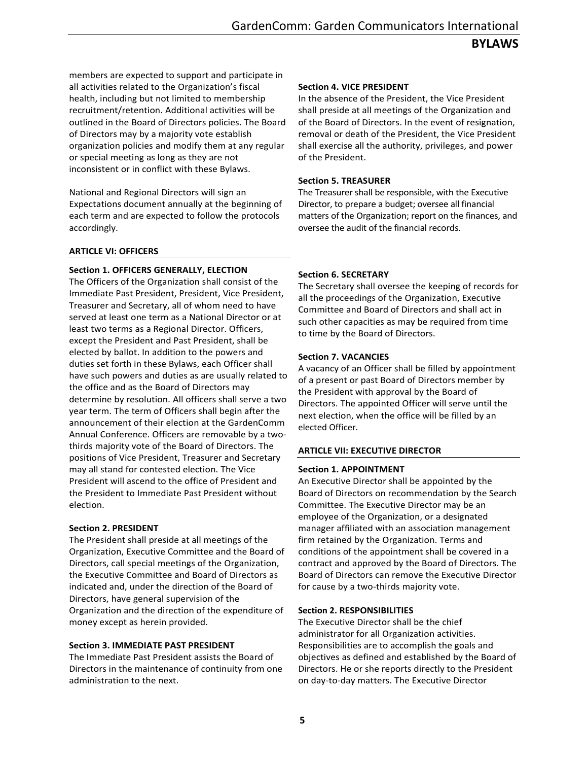# **BYLAWS**

members are expected to support and participate in all activities related to the Organization's fiscal health, including but not limited to membership recruitment/retention. Additional activities will be outlined in the Board of Directors policies. The Board of Directors may by a majority vote establish organization policies and modify them at any regular or special meeting as long as they are not inconsistent or in conflict with these Bylaws.

National and Regional Directors will sign an Expectations document annually at the beginning of each term and are expected to follow the protocols accordingly.

#### **ARTICLE VI: OFFICERS**

## **Section 1. OFFICERS GENERALLY, ELECTION**

The Officers of the Organization shall consist of the Immediate Past President, President, Vice President, Treasurer and Secretary, all of whom need to have served at least one term as a National Director or at least two terms as a Regional Director. Officers, except the President and Past President, shall be elected by ballot. In addition to the powers and duties set forth in these Bylaws, each Officer shall have such powers and duties as are usually related to the office and as the Board of Directors may determine by resolution. All officers shall serve a two year term. The term of Officers shall begin after the announcement of their election at the GardenComm Annual Conference. Officers are removable by a twothirds majority vote of the Board of Directors. The positions of Vice President, Treasurer and Secretary may all stand for contested election. The Vice President will ascend to the office of President and the President to Immediate Past President without election.

#### **Section 2. PRESIDENT**

The President shall preside at all meetings of the Organization, Executive Committee and the Board of Directors, call special meetings of the Organization, the Executive Committee and Board of Directors as indicated and, under the direction of the Board of Directors, have general supervision of the Organization and the direction of the expenditure of money except as herein provided.

#### **Section 3. IMMEDIATE PAST PRESIDENT**

The Immediate Past President assists the Board of Directors in the maintenance of continuity from one administration to the next.

#### **Section 4. VICE PRESIDENT**

In the absence of the President, the Vice President shall preside at all meetings of the Organization and of the Board of Directors. In the event of resignation, removal or death of the President, the Vice President shall exercise all the authority, privileges, and power of the President.

#### **Section 5. TREASURER**

The Treasurer shall be responsible, with the Executive Director, to prepare a budget; oversee all financial matters of the Organization; report on the finances, and oversee the audit of the financial records.

#### **Section 6. SECRETARY**

The Secretary shall oversee the keeping of records for all the proceedings of the Organization, Executive Committee and Board of Directors and shall act in such other capacities as may be required from time to time by the Board of Directors.

#### **Section 7. VACANCIES**

A vacancy of an Officer shall be filled by appointment of a present or past Board of Directors member by the President with approval by the Board of Directors. The appointed Officer will serve until the next election, when the office will be filled by an elected Officer.

#### **ARTICLE VII: EXECUTIVE DIRECTOR**

#### **Section 1. APPOINTMENT**

An Executive Director shall be appointed by the Board of Directors on recommendation by the Search Committee. The Executive Director may be an employee of the Organization, or a designated manager affiliated with an association management firm retained by the Organization. Terms and conditions of the appointment shall be covered in a contract and approved by the Board of Directors. The Board of Directors can remove the Executive Director for cause by a two-thirds majority vote.

#### **Section 2. RESPONSIBILITIES**

The Executive Director shall be the chief administrator for all Organization activities. Responsibilities are to accomplish the goals and objectives as defined and established by the Board of Directors. He or she reports directly to the President on day-to-day matters. The Executive Director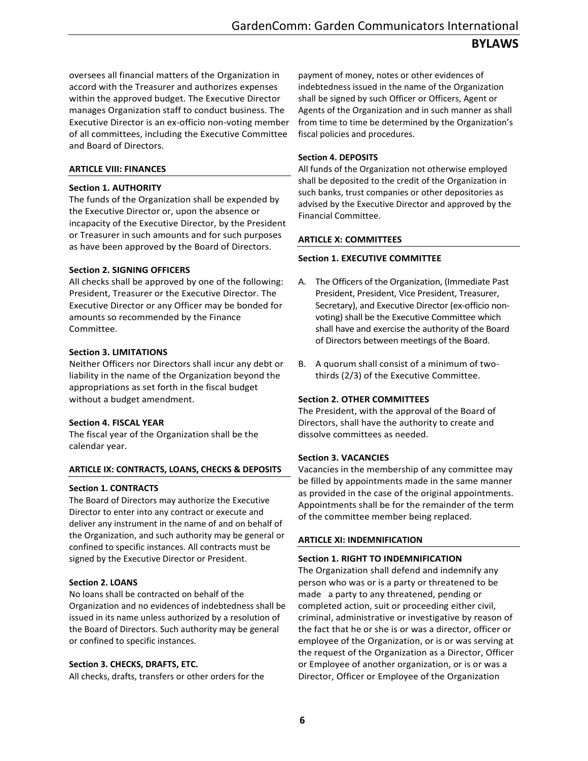oversees all financial matters of the Organization in accord with the Treasurer and authorizes expenses within the approved budget. The Executive Director manages Organization staff to conduct business. The Executive Director is an ex-officio non-voting member of all committees, including the Executive Committee and Board of Directors.

## **ARTICLE VIII: FINANCES**

## **Section 1. AUTHORITY**

The funds of the Organization shall be expended by the Executive Director or, upon the absence or incapacity of the Executive Director, by the President or Treasurer in such amounts and for such purposes as have been approved by the Board of Directors.

## **Section 2. SIGNING OFFICERS**

All checks shall be approved by one of the following: President, Treasurer or the Executive Director. The Executive Director or any Officer may be bonded for amounts so recommended by the Finance Committee.

## **Section 3. LIMITATIONS**

Neither Officers nor Directors shall incur any debt or liability in the name of the Organization beyond the appropriations as set forth in the fiscal budget without a budget amendment.

## **Section 4. FISCAL YEAR**

The fiscal year of the Organization shall be the calendar year.

## **ARTICLE IX: CONTRACTS, LOANS, CHECKS & DEPOSITS**

## **Section 1. CONTRACTS**

The Board of Directors may authorize the Executive Director to enter into any contract or execute and deliver any instrument in the name of and on behalf of the Organization, and such authority may be general or confined to specific instances. All contracts must be signed by the Executive Director or President.

## **Section 2. LOANS**

No loans shall be contracted on behalf of the Organization and no evidences of indebtedness shall be issued in its name unless authorized by a resolution of the Board of Directors. Such authority may be general or confined to specific instances.

## **Section 3. CHECKS, DRAFTS, ETC.**

All checks, drafts, transfers or other orders for the

payment of money, notes or other evidences of indebtedness issued in the name of the Organization shall be signed by such Officer or Officers, Agent or Agents of the Organization and in such manner as shall from time to time be determined by the Organization's fiscal policies and procedures.

## **Section 4. DEPOSITS**

All funds of the Organization not otherwise employed shall be deposited to the credit of the Organization in such banks, trust companies or other depositories as advised by the Executive Director and approved by the Financial Committee.

## **ARTICLE X: COMMITTEES**

## **Section 1. EXECUTIVE COMMITTEE**

- A. The Officers of the Organization, (Immediate Past President, President, Vice President, Treasurer, Secretary), and Executive Director (ex-officio nonvoting) shall be the Executive Committee which shall have and exercise the authority of the Board of Directors between meetings of the Board.
- B. A quorum shall consist of a minimum of twothirds (2/3) of the Executive Committee.

## **Section 2. OTHER COMMITTEES**

The President, with the approval of the Board of Directors, shall have the authority to create and dissolve committees as needed.

## **Section 3. VACANCIES**

Vacancies in the membership of any committee may be filled by appointments made in the same manner as provided in the case of the original appointments. Appointments shall be for the remainder of the term of the committee member being replaced.

## **ARTICLE XI: INDEMNIFICATION**

## **Section 1. RIGHT TO INDEMNIFICATION**

The Organization shall defend and indemnify any person who was or is a party or threatened to be made a party to any threatened, pending or completed action, suit or proceeding either civil, criminal, administrative or investigative by reason of the fact that he or she is or was a director, officer or employee of the Organization, or is or was serving at the request of the Organization as a Director, Officer or Employee of another organization, or is or was a Director, Officer or Employee of the Organization